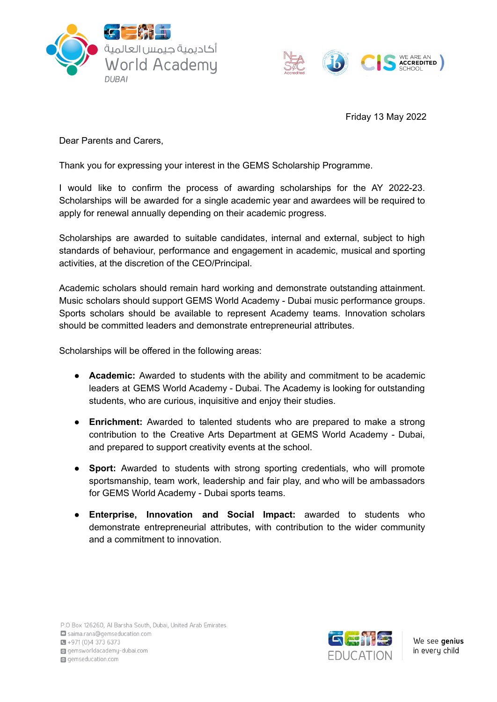



Friday 13 May 2022

Dear Parents and Carers,

Thank you for expressing your interest in the GEMS Scholarship Programme.

I would like to confirm the process of awarding scholarships for the AY 2022-23. Scholarships will be awarded for a single academic year and awardees will be required to apply for renewal annually depending on their academic progress.

Scholarships are awarded to suitable candidates, internal and external, subject to high standards of behaviour, performance and engagement in academic, musical and sporting activities, at the discretion of the CEO/Principal.

Academic scholars should remain hard working and demonstrate outstanding attainment. Music scholars should support GEMS World Academy - Dubai music performance groups. Sports scholars should be available to represent Academy teams. Innovation scholars should be committed leaders and demonstrate entrepreneurial attributes.

Scholarships will be offered in the following areas:

- **Academic:** Awarded to students with the ability and commitment to be academic leaders at GEMS World Academy - Dubai. The Academy is looking for outstanding students, who are curious, inquisitive and enjoy their studies.
- **Enrichment:** Awarded to talented students who are prepared to make a strong contribution to the Creative Arts Department at GEMS World Academy - Dubai, and prepared to support creativity events at the school.
- **Sport:** Awarded to students with strong sporting credentials, who will promote sportsmanship, team work, leadership and fair play, and who will be ambassadors for GEMS World Academy - Dubai sports teams.
- **Enterprise, Innovation and Social Impact:** awarded to students who demonstrate entrepreneurial attributes, with contribution to the wider community and a commitment to innovation.



We see genius in every child